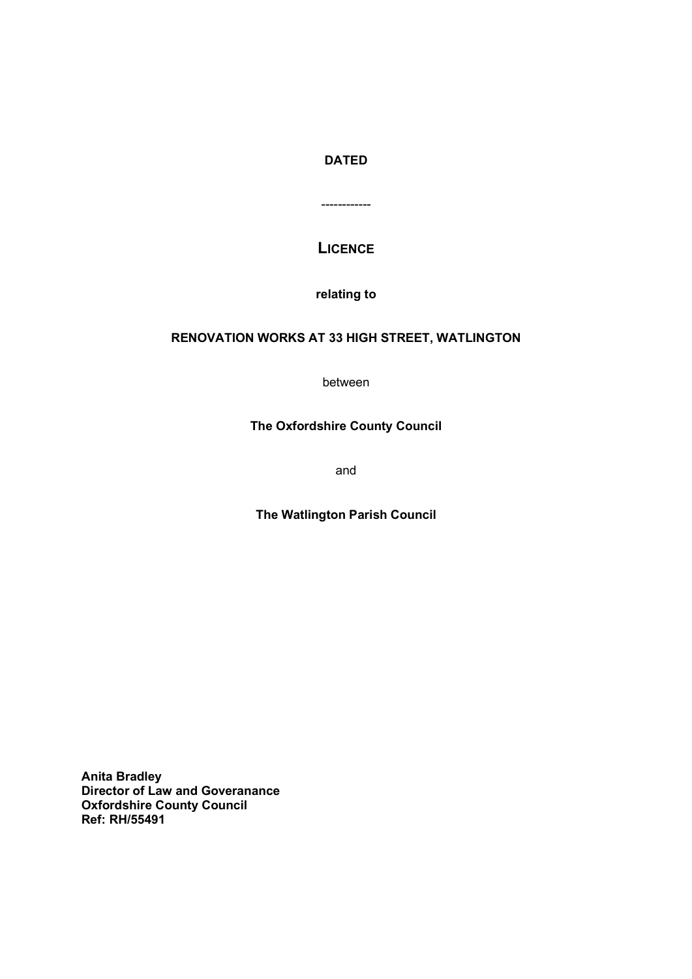# DATED

------------

# **LICENCE**

relating to

# RENOVATION WORKS AT 33 HIGH STREET, WATLINGTON

between

# The Oxfordshire County Council

and

## The Watlington Parish Council

Anita Bradley Director of Law and Goveranance Oxfordshire County Council Ref: RH/55491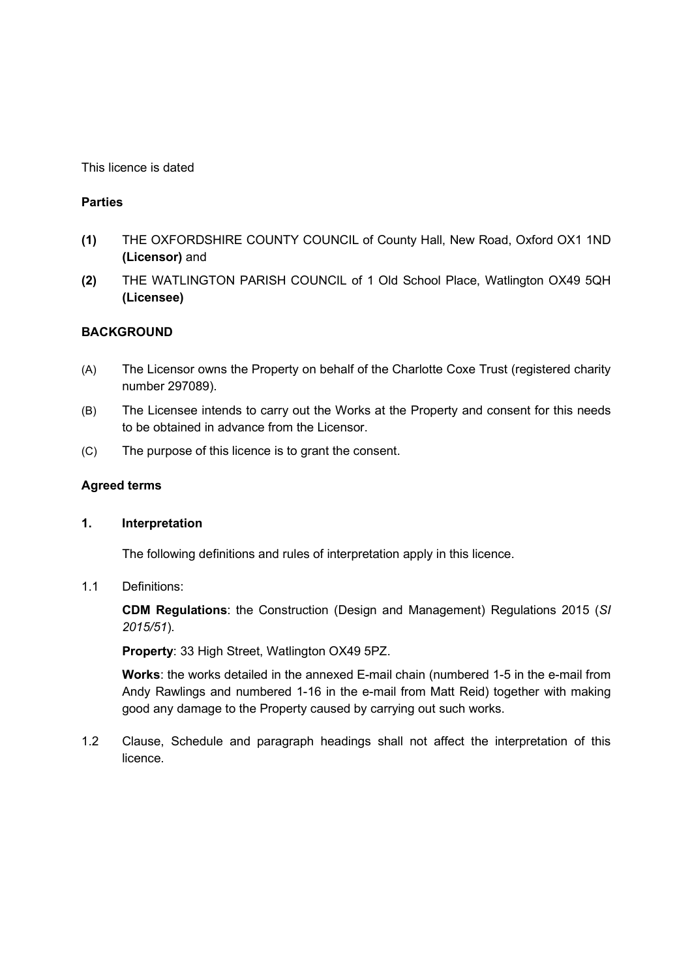This licence is dated

## **Parties**

- (1) THE OXFORDSHIRE COUNTY COUNCIL of County Hall, New Road, Oxford OX1 1ND (Licensor) and
- (2) THE WATLINGTON PARISH COUNCIL of 1 Old School Place, Watlington OX49 5QH (Licensee)

## BACKGROUND

- (A) The Licensor owns the Property on behalf of the Charlotte Coxe Trust (registered charity number 297089).
- (B) The Licensee intends to carry out the Works at the Property and consent for this needs to be obtained in advance from the Licensor.
- (C) The purpose of this licence is to grant the consent.

### Agreed terms

#### 1. Interpretation

The following definitions and rules of interpretation apply in this licence.

#### 1.1 Definitions:

 CDM Regulations: the Construction (Design and Management) Regulations 2015 (SI 2015/51).

Property: 33 High Street, Watlington OX49 5PZ.

 Works: the works detailed in the annexed E-mail chain (numbered 1-5 in the e-mail from Andy Rawlings and numbered 1-16 in the e-mail from Matt Reid) together with making good any damage to the Property caused by carrying out such works.

1.2 Clause, Schedule and paragraph headings shall not affect the interpretation of this licence.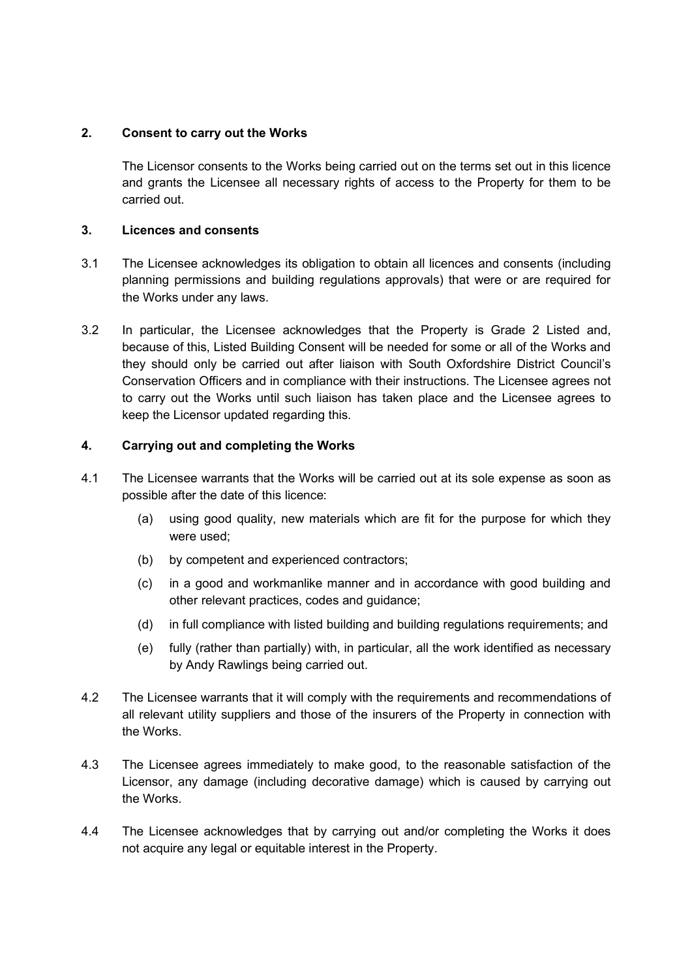## 2. Consent to carry out the Works

The Licensor consents to the Works being carried out on the terms set out in this licence and grants the Licensee all necessary rights of access to the Property for them to be carried out.

### 3. Licences and consents

- 3.1 The Licensee acknowledges its obligation to obtain all licences and consents (including planning permissions and building regulations approvals) that were or are required for the Works under any laws.
- 3.2 In particular, the Licensee acknowledges that the Property is Grade 2 Listed and, because of this, Listed Building Consent will be needed for some or all of the Works and they should only be carried out after liaison with South Oxfordshire District Council's Conservation Officers and in compliance with their instructions. The Licensee agrees not to carry out the Works until such liaison has taken place and the Licensee agrees to keep the Licensor updated regarding this.

## 4. Carrying out and completing the Works

- 4.1 The Licensee warrants that the Works will be carried out at its sole expense as soon as possible after the date of this licence:
	- (a) using good quality, new materials which are fit for the purpose for which they were used;
	- (b) by competent and experienced contractors;
	- (c) in a good and workmanlike manner and in accordance with good building and other relevant practices, codes and guidance;
	- (d) in full compliance with listed building and building regulations requirements; and
	- (e) fully (rather than partially) with, in particular, all the work identified as necessary by Andy Rawlings being carried out.
- 4.2 The Licensee warrants that it will comply with the requirements and recommendations of all relevant utility suppliers and those of the insurers of the Property in connection with the Works.
- 4.3 The Licensee agrees immediately to make good, to the reasonable satisfaction of the Licensor, any damage (including decorative damage) which is caused by carrying out the Works.
- 4.4 The Licensee acknowledges that by carrying out and/or completing the Works it does not acquire any legal or equitable interest in the Property.